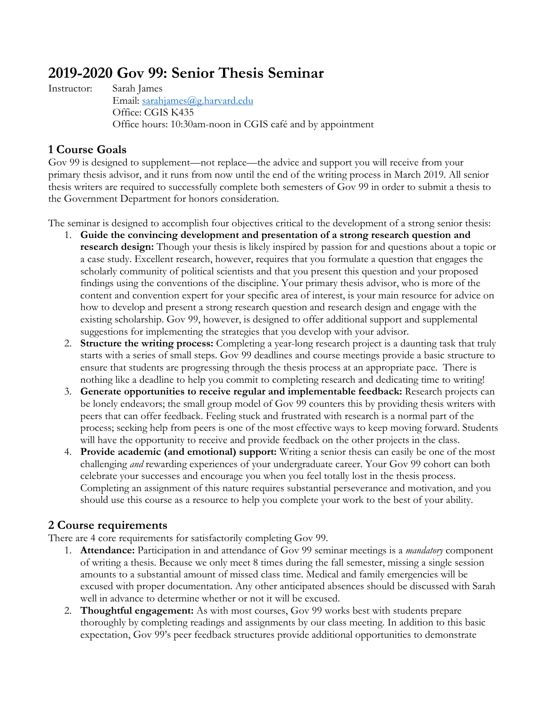# **2019-2020 Gov 99: Senior Thesis Seminar**

Instructor: Sarah James

Email: sarahjames@g.harvard.edu Office: CGIS K435 Office hours: 10:30am-noon in CGIS café and by appointment

# **1 Course Goals**

Gov 99 is designed to supplement—not replace—the advice and support you will receive from your primary thesis advisor, and it runs from now until the end of the writing process in March 2019. All senior thesis writers are required to successfully complete both semesters of Gov 99 in order to submit a thesis to the Government Department for honors consideration.

The seminar is designed to accomplish four objectives critical to the development of a strong senior thesis:

- 1. **Guide the convincing development and presentation of a strong research question and research design:** Though your thesis is likely inspired by passion for and questions about a topic or a case study. Excellent research, however, requires that you formulate a question that engages the scholarly community of political scientists and that you present this question and your proposed findings using the conventions of the discipline. Your primary thesis advisor, who is more of the content and convention expert for your specific area of interest, is your main resource for advice on how to develop and present a strong research question and research design and engage with the existing scholarship. Gov 99, however, is designed to offer additional support and supplemental suggestions for implementing the strategies that you develop with your advisor.
- 2. **Structure the writing process:** Completing a year-long research project is a daunting task that truly starts with a series of small steps. Gov 99 deadlines and course meetings provide a basic structure to ensure that students are progressing through the thesis process at an appropriate pace. There is nothing like a deadline to help you commit to completing research and dedicating time to writing!
- 3. **Generate opportunities to receive regular and implementable feedback:** Research projects can be lonely endeavors; the small group model of Gov 99 counters this by providing thesis writers with peers that can offer feedback. Feeling stuck and frustrated with research is a normal part of the process; seeking help from peers is one of the most effective ways to keep moving forward. Students will have the opportunity to receive and provide feedback on the other projects in the class.
- 4. **Provide academic (and emotional) support:** Writing a senior thesis can easily be one of the most challenging *and* rewarding experiences of your undergraduate career. Your Gov 99 cohort can both celebrate your successes and encourage you when you feel totally lost in the thesis process. Completing an assignment of this nature requires substantial perseverance and motivation, and you should use this course as a resource to help you complete your work to the best of your ability.

# **2 Course requirements**

There are 4 core requirements for satisfactorily completing Gov 99.

- 1. **Attendance:** Participation in and attendance of Gov 99 seminar meetings is a *mandatory* component of writing a thesis. Because we only meet 8 times during the fall semester, missing a single session amounts to a substantial amount of missed class time. Medical and family emergencies will be excused with proper documentation. Any other anticipated absences should be discussed with Sarah well in advance to determine whether or not it will be excused.
- 2. **Thoughtful engagement:** As with most courses, Gov 99 works best with students prepare thoroughly by completing readings and assignments by our class meeting. In addition to this basic expectation, Gov 99's peer feedback structures provide additional opportunities to demonstrate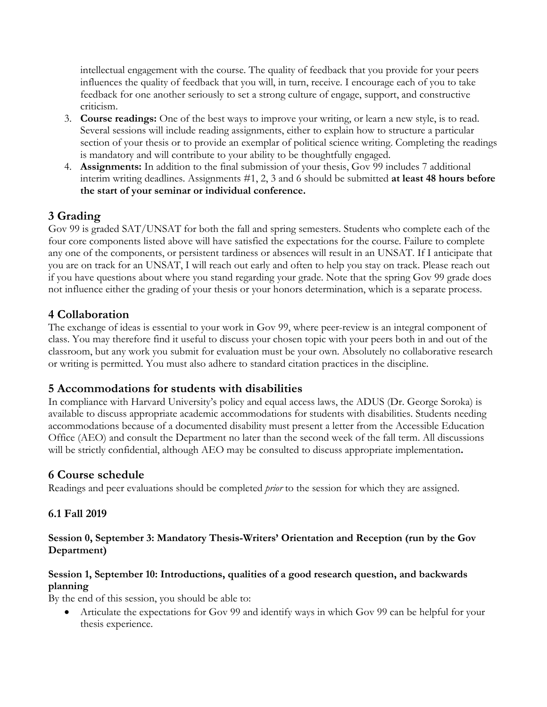intellectual engagement with the course. The quality of feedback that you provide for your peers influences the quality of feedback that you will, in turn, receive. I encourage each of you to take feedback for one another seriously to set a strong culture of engage, support, and constructive criticism.

- 3. **Course readings:** One of the best ways to improve your writing, or learn a new style, is to read. Several sessions will include reading assignments, either to explain how to structure a particular section of your thesis or to provide an exemplar of political science writing. Completing the readings is mandatory and will contribute to your ability to be thoughtfully engaged.
- 4. **Assignments:** In addition to the final submission of your thesis, Gov 99 includes 7 additional interim writing deadlines. Assignments #1, 2, 3 and 6 should be submitted **at least 48 hours before the start of your seminar or individual conference.**

# **3 Grading**

Gov 99 is graded SAT/UNSAT for both the fall and spring semesters. Students who complete each of the four core components listed above will have satisfied the expectations for the course. Failure to complete any one of the components, or persistent tardiness or absences will result in an UNSAT. If I anticipate that you are on track for an UNSAT, I will reach out early and often to help you stay on track. Please reach out if you have questions about where you stand regarding your grade. Note that the spring Gov 99 grade does not influence either the grading of your thesis or your honors determination, which is a separate process.

## **4 Collaboration**

The exchange of ideas is essential to your work in Gov 99, where peer-review is an integral component of class. You may therefore find it useful to discuss your chosen topic with your peers both in and out of the classroom, but any work you submit for evaluation must be your own. Absolutely no collaborative research or writing is permitted. You must also adhere to standard citation practices in the discipline.

## **5 Accommodations for students with disabilities**

In compliance with Harvard University's policy and equal access laws, the ADUS (Dr. George Soroka) is available to discuss appropriate academic accommodations for students with disabilities. Students needing accommodations because of a documented disability must present a letter from the Accessible Education Office (AEO) and consult the Department no later than the second week of the fall term. All discussions will be strictly confidential, although AEO may be consulted to discuss appropriate implementation**.** 

#### **6 Course schedule**

Readings and peer evaluations should be completed *prior* to the session for which they are assigned.

#### **6.1 Fall 2019**

#### **Session 0, September 3: Mandatory Thesis-Writers' Orientation and Reception (run by the Gov Department)**

#### **Session 1, September 10: Introductions, qualities of a good research question, and backwards planning**

By the end of this session, you should be able to:

• Articulate the expectations for Gov 99 and identify ways in which Gov 99 can be helpful for your thesis experience.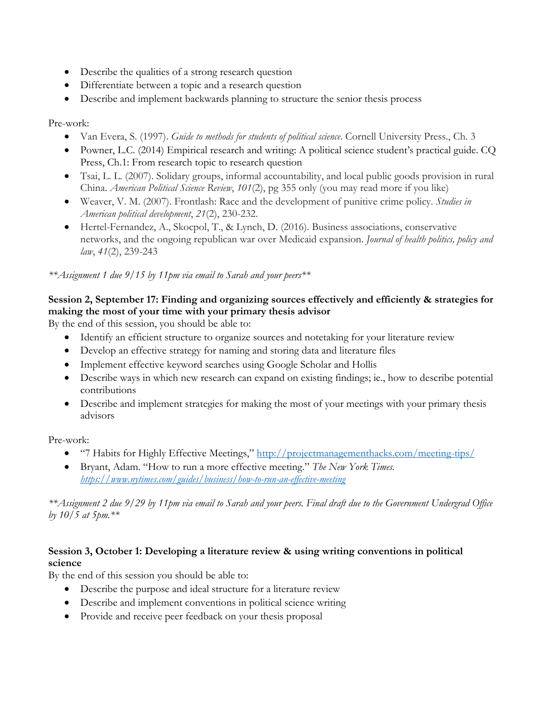- Describe the qualities of a strong research question
- Differentiate between a topic and a research question
- Describe and implement backwards planning to structure the senior thesis process

Pre-work:

- Van Evera, S. (1997). *Guide to methods for students of political science*. Cornell University Press., Ch. 3
- Powner, L.C. (2014) Empirical research and writing: A political science student's practical guide. CO Press, Ch.1: From research topic to research question
- Tsai, L. L. (2007). Solidary groups, informal accountability, and local public goods provision in rural China. *American Political Science Review*, *101*(2), pg 355 only (you may read more if you like)
- Weaver, V. M. (2007). Frontlash: Race and the development of punitive crime policy. *Studies in American political development*, *21*(2), 230-232.
- Hertel-Fernandez, A., Skocpol, T., & Lynch, D. (2016). Business associations, conservative networks, and the ongoing republican war over Medicaid expansion. *Journal of health politics, policy and law*, *41*(2), 239-243

*\*\*Assignment 1 due 9/15 by 11pm via email to Sarah and your peers\*\**

## **Session 2, September 17: Finding and organizing sources effectively and efficiently & strategies for making the most of your time with your primary thesis advisor**

By the end of this session, you should be able to:

- Identify an efficient structure to organize sources and notetaking for your literature review
- Develop an effective strategy for naming and storing data and literature files
- Implement effective keyword searches using Google Scholar and Hollis
- Describe ways in which new research can expand on existing findings; ie., how to describe potential contributions
- Describe and implement strategies for making the most of your meetings with your primary thesis advisors

Pre-work:

- "7 Habits for Highly Effective Meetings," http://projectmanagementhacks.com/meeting-tips/
- Bryant, Adam. "How to run a more effective meeting." *The New York Times. https://www.nytimes.com/guides/business/how-to-run-an-effective-meeting*

*\*\*Assignment 2 due 9/29 by 11pm via email to Sarah and your peers. Final draft due to the Government Undergrad Office by 10/5 at 5pm.\*\**

## **Session 3, October 1: Developing a literature review & using writing conventions in political science**

By the end of this session you should be able to:

- Describe the purpose and ideal structure for a literature review
- Describe and implement conventions in political science writing
- Provide and receive peer feedback on your thesis proposal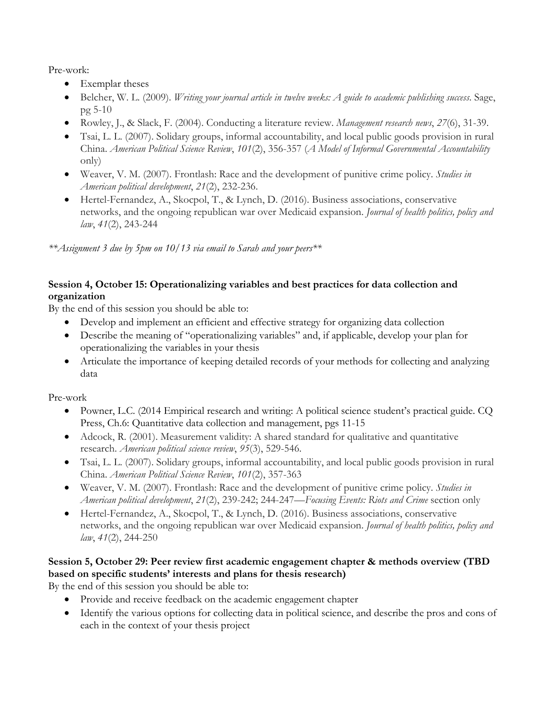Pre-work:

- Exemplar theses
- Belcher, W. L. (2009). *Writing your journal article in twelve weeks: A guide to academic publishing success*. Sage, pg 5-10
- Rowley, J., & Slack, F. (2004). Conducting a literature review. *Management research news*, *27*(6), 31-39.
- Tsai, L. L. (2007). Solidary groups, informal accountability, and local public goods provision in rural China. *American Political Science Review*, *101*(2), 356-357 (*A Model of Informal Governmental Accountability* only)
- Weaver, V. M. (2007). Frontlash: Race and the development of punitive crime policy. *Studies in American political development*, *21*(2), 232-236.
- Hertel-Fernandez, A., Skocpol, T., & Lynch, D. (2016). Business associations, conservative networks, and the ongoing republican war over Medicaid expansion. *Journal of health politics, policy and law*, *41*(2), 243-244

*\*\*Assignment 3 due by 5pm on 10/13 via email to Sarah and your peers\*\**

## **Session 4, October 15: Operationalizing variables and best practices for data collection and organization**

By the end of this session you should be able to:

- Develop and implement an efficient and effective strategy for organizing data collection
- Describe the meaning of "operationalizing variables" and, if applicable, develop your plan for operationalizing the variables in your thesis
- Articulate the importance of keeping detailed records of your methods for collecting and analyzing data

Pre-work

- Powner, L.C. (2014 Empirical research and writing: A political science student's practical guide. CQ Press, Ch.6: Quantitative data collection and management, pgs 11-15
- Adcock, R. (2001). Measurement validity: A shared standard for qualitative and quantitative research. *American political science review*, *95*(3), 529-546.
- Tsai, L. L. (2007). Solidary groups, informal accountability, and local public goods provision in rural China. *American Political Science Review*, *101*(2), 357-363
- Weaver, V. M. (2007). Frontlash: Race and the development of punitive crime policy. *Studies in American political development*, *21*(2), 239-242; 244-247—*Focusing Events: Riots and Crime* section only
- Hertel-Fernandez, A., Skocpol, T., & Lynch, D. (2016). Business associations, conservative networks, and the ongoing republican war over Medicaid expansion. *Journal of health politics, policy and law*, *41*(2), 244-250

# **Session 5, October 29: Peer review first academic engagement chapter & methods overview (TBD based on specific students' interests and plans for thesis research)**

By the end of this session you should be able to:

- Provide and receive feedback on the academic engagement chapter
- Identify the various options for collecting data in political science, and describe the pros and cons of each in the context of your thesis project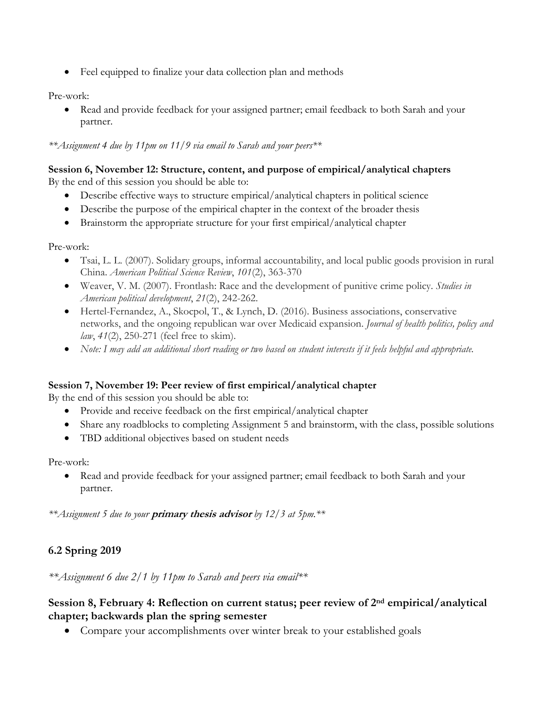• Feel equipped to finalize your data collection plan and methods

Pre-work:

• Read and provide feedback for your assigned partner; email feedback to both Sarah and your partner.

*\*\*Assignment 4 due by 11pm on 11/9 via email to Sarah and your peers\*\**

#### **Session 6, November 12: Structure, content, and purpose of empirical/analytical chapters** By the end of this session you should be able to:

- Describe effective ways to structure empirical/analytical chapters in political science
- Describe the purpose of the empirical chapter in the context of the broader thesis
- Brainstorm the appropriate structure for your first empirical/analytical chapter

Pre-work:

- Tsai, L. L. (2007). Solidary groups, informal accountability, and local public goods provision in rural China. *American Political Science Review*, *101*(2), 363-370
- Weaver, V. M. (2007). Frontlash: Race and the development of punitive crime policy. *Studies in American political development*, *21*(2), 242-262.
- Hertel-Fernandez, A., Skocpol, T., & Lynch, D. (2016). Business associations, conservative networks, and the ongoing republican war over Medicaid expansion. *Journal of health politics, policy and law*, *41*(2), 250-271 (feel free to skim).
- *Note: I may add an additional short reading or two based on student interests if it feels helpful and appropriate.*

#### **Session 7, November 19: Peer review of first empirical/analytical chapter**

By the end of this session you should be able to:

- Provide and receive feedback on the first empirical/analytical chapter
- Share any roadblocks to completing Assignment 5 and brainstorm, with the class, possible solutions
- TBD additional objectives based on student needs

Pre-work:

• Read and provide feedback for your assigned partner; email feedback to both Sarah and your partner.

*\*\*Assignment 5 due to your* **primary thesis advisor** *by 12/3 at 5pm.\*\**

## **6.2 Spring 2019**

*\*\*Assignment 6 due 2/1 by 11pm to Sarah and peers via email\*\**

#### **Session 8, February 4: Reflection on current status; peer review of 2nd empirical/analytical chapter; backwards plan the spring semester**

• Compare your accomplishments over winter break to your established goals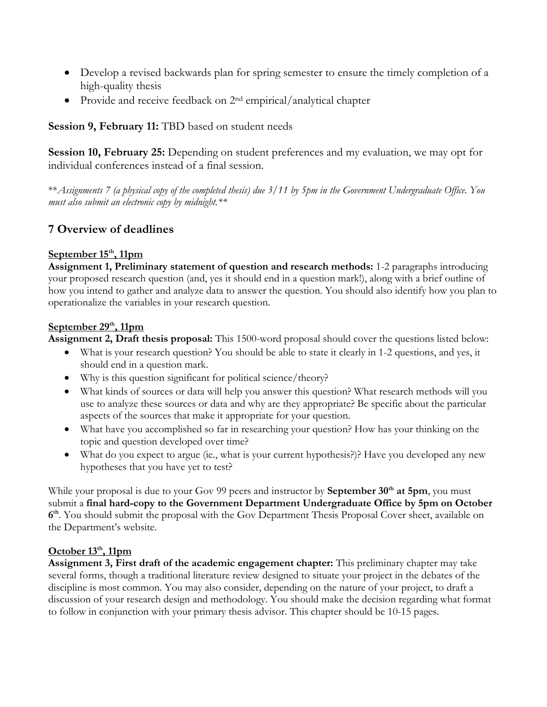- Develop a revised backwards plan for spring semester to ensure the timely completion of a high-quality thesis
- Provide and receive feedback on 2<sup>nd</sup> empirical/analytical chapter

## **Session 9, February 11:** TBD based on student needs

**Session 10, February 25:** Depending on student preferences and my evaluation, we may opt for individual conferences instead of a final session.

\*\**Assignments 7 (a physical copy of the completed thesis) due 3/11 by 5pm in the Government Undergraduate Office. You must also submit an electronic copy by midnight.\*\**

## **7 Overview of deadlines**

#### **September 15th, 11pm**

**Assignment 1, Preliminary statement of question and research methods:** 1-2 paragraphs introducing your proposed research question (and, yes it should end in a question mark!), along with a brief outline of how you intend to gather and analyze data to answer the question. You should also identify how you plan to operationalize the variables in your research question.

#### **September 29th, 11pm**

**Assignment 2, Draft thesis proposal:** This 1500-word proposal should cover the questions listed below:

- What is your research question? You should be able to state it clearly in 1-2 questions, and yes, it should end in a question mark.
- Why is this question significant for political science/theory?
- What kinds of sources or data will help you answer this question? What research methods will you use to analyze these sources or data and why are they appropriate? Be specific about the particular aspects of the sources that make it appropriate for your question.
- What have you accomplished so far in researching your question? How has your thinking on the topic and question developed over time?
- What do you expect to argue (ie., what is your current hypothesis?)? Have you developed any new hypotheses that you have yet to test?

While your proposal is due to your Gov 99 peers and instructor by **September 30<sup>th</sup> at 5pm**, you must submit a **final hard-copy to the Government Department Undergraduate Office by 5pm on October 6th**. You should submit the proposal with the Gov Department Thesis Proposal Cover sheet, available on the Department's website.

#### **October 13th, 11pm**

**Assignment 3, First draft of the academic engagement chapter:** This preliminary chapter may take several forms, though a traditional literature review designed to situate your project in the debates of the discipline is most common. You may also consider, depending on the nature of your project, to draft a discussion of your research design and methodology. You should make the decision regarding what format to follow in conjunction with your primary thesis advisor. This chapter should be 10-15 pages.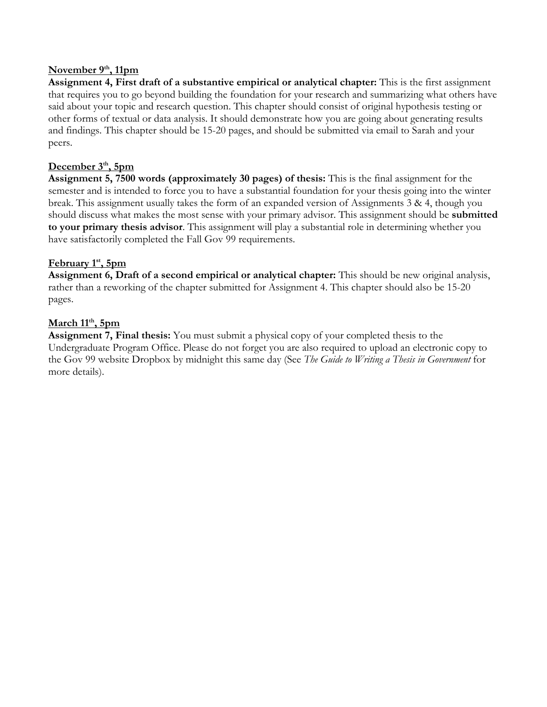#### November 9<sup>th</sup>, 11pm

**Assignment 4, First draft of a substantive empirical or analytical chapter:** This is the first assignment that requires you to go beyond building the foundation for your research and summarizing what others have said about your topic and research question. This chapter should consist of original hypothesis testing or other forms of textual or data analysis. It should demonstrate how you are going about generating results and findings. This chapter should be 15-20 pages, and should be submitted via email to Sarah and your peers.

#### **December 3th, 5pm**

**Assignment 5, 7500 words (approximately 30 pages) of thesis:** This is the final assignment for the semester and is intended to force you to have a substantial foundation for your thesis going into the winter break. This assignment usually takes the form of an expanded version of Assignments 3 & 4, though you should discuss what makes the most sense with your primary advisor. This assignment should be **submitted to your primary thesis advisor**. This assignment will play a substantial role in determining whether you have satisfactorily completed the Fall Gov 99 requirements.

#### **February 1st, 5pm**

**Assignment 6, Draft of a second empirical or analytical chapter:** This should be new original analysis, rather than a reworking of the chapter submitted for Assignment 4. This chapter should also be 15-20 pages.

#### **March 11th, 5pm**

**Assignment 7, Final thesis:** You must submit a physical copy of your completed thesis to the Undergraduate Program Office. Please do not forget you are also required to upload an electronic copy to the Gov 99 website Dropbox by midnight this same day (See *The Guide to Writing a Thesis in Government* for more details).